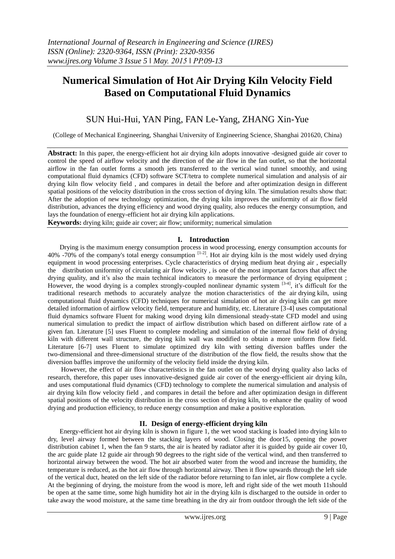# **Numerical Simulation of Hot Air Drying Kiln Velocity Field Based on Computational Fluid Dynamics**

# SUN Hui-Hui, YAN Ping, FAN Le-Yang, ZHANG Xin-Yue

(College of Mechanical Engineering, Shanghai University of Engineering Science, Shanghai 201620, China)

Abstract: In this paper, the energy-efficient hot air drying kiln adopts innovative -designed guide air cover to control the speed of airflow velocity and the direction of the air flow in the fan outlet, so that the horizontal airflow in the fan outlet forms a smooth jets transferred to the vertical wind tunnel smoothly, and using computational fluid dynamics (CFD) software SCT/tetra to complete numerical simulation and analysis of air drying kiln flow velocity field , and compares in detail the before and after optimization design in different spatial positions of the velocity distribution in the cross section of drying kiln. The simulation results show that: After the adoption of new technology optimization, the drying kiln improves the uniformity of air flow field distribution, advances the drying efficiency and wood drying quality, also reduces the energy consumption, and lays the foundation of energy-efficient hot air drying kiln applications.

**Keywords:** drying kiln; guide air cover; air flow; uniformity; numerical simulation

# **I. Introduction**

Drying is the maximum energy consumption process in wood processing, energy consumption accounts for 40% -70% of the company's total energy consumption  $[1-2]$ . Hot air drying kiln is the most widely used drying equipment in wood processing enterprises. Cycle characteristics of drying medium heat drying air , especially the distribution uniformity of circulating air flow velocity , is one of the most important factors that affect the drying quality, and it's also the main technical indicators to measure the performance of drying equipment ; However, the wood drying is a complex strongly-coupled nonlinear dynamic system <sup>[3-4]</sup>, it's difficult for the traditional research methods to accurately analyze the motion characteristics of the air drying kiln, using computational fluid dynamics (CFD) techniques for numerical simulation of hot air drying kiln can get more detailed information of airflow velocity field, temperature and humidity, etc. Literature [3-4] uses computational fluid dynamics software Fluent for making wood drying kiln dimensional steady-state CFD model and using numerical simulation to predict the impact of airflow distribution which based on different airflow rate of a given fan. Literature [5] uses Fluent to complete modeling and simulation of the internal flow field of drying kiln with different wall structure, the drying kiln wall was modified to obtain a more uniform flow field. Literature [6-7] uses Fluent to simulate optimized dry kiln with setting diversion baffles under the two-dimensional and three-dimensional structure of the distribution of the flow field, the results show that the diversion baffles improve the uniformity of the velocity field inside the drying kiln.

However, the effect of air flow characteristics in the fan outlet on the wood drying quality also lacks of research, therefore, this paper uses innovative-designed guide air cover of the energy-efficient air drying kiln, and uses computational fluid dynamics (CFD) technology to complete the numerical simulation and analysis of air drying kiln flow velocity field , and compares in detail the before and after optimization design in different spatial positions of the velocity distribution in the cross section of drying kiln, to enhance the quality of wood drying and production efficiency, to reduce energy consumption and make a positive exploration.

# **II. Design of energy-efficient drying kiln**

Energy-efficient hot air drying kiln is shown in figure 1, the wet wood stacking is loaded into drying kiln to dry, level airway formed between the stacking layers of wood. Closing the door15, opening the power distribution cabinet 1, when the fan 9 starts, the air is heated by radiator after it is guided by guide air cover 10, the arc guide plate 12 guide air through 90 degrees to the right side of the vertical wind, and then transferred to horizontal airway between the wood. The hot air absorbed water from the wood and increase the humidity, the temperature is reduced, as the hot air flow through horizontal airway. Then it flow upwards through the left side of the vertical duct, heated on the left side of the radiator before returning to fan inlet, air flow complete a cycle. At the beginning of drying, the moisture from the wood is more, left and right side of the wet mouth 11should be open at the same time, some high humidity hot air in the drying kiln is discharged to the outside in order to take away the wood moisture, at the same time breathing in the dry air from outdoor through the left side of the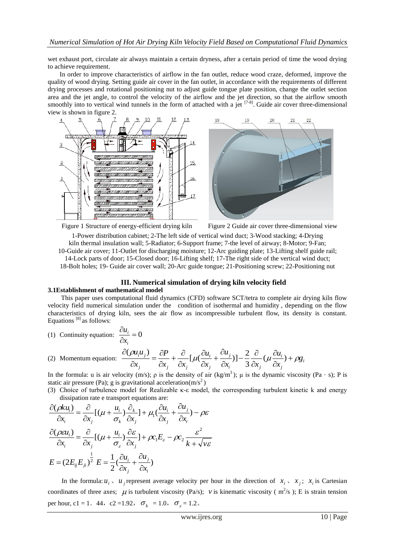wet exhaust port, circulate air always maintain a certain dryness, after a certain period of time the wood drying to achieve requirement.

In order to improve characteristics of airflow in the fan outlet, reduce wood craze, deformed, improve the quality of wood drying. Setting guide air cover in the fan outlet, in accordance with the requirements of different drying processes and rotational positioning nut to adjust guide tongue plate position, change the outlet section area and the jet angle, to control the velocity of the airflow and the jet direction, so that the airflow smooth smoothly into to vertical wind tunnels in the form of attached with a jet  $[7-8]$ . Guide air cover three-dimensional view is shown in figure 2.





Figure 1 Structure of energy-efficient drying kiln Figure 2 Guide air cover three-dimensional view



1-Power distribution cabinet; 2-The left side of vertical wind duct; 3-Wood stacking; 4-Drying kiln thermal insulation wall; 5-Radiator; 6-Support frame; 7-the level of airway; 8-Motor; 9-Fan; 10-Guide air cover; 11-Outlet for discharging moisture; 12-Arc guiding plate; 13-Lifting shelf guide rail; 14-Lock parts of door; 15-Closed door; 16-Lifting shelf; 17-The right side of the vertical wind duct; 18-Bolt holes; 19- Guide air cover wall; 20-Arc guide tongue; 21-Positioning screw; 22-Positioning nut

# **III. Numerical simulation of drying kiln velocity field**

#### **3.1Establishment of mathematical model**

This paper uses computational fluid dynamics (CFD) software SCT/tetra to complete air drying kiln flow velocity field numerical simulation under the condition of isothermal and humidity , depending on the flow characteristics of drying kiln, sees the air flow as incompressible turbulent flow, its density is constant. Equations [8] as follows:

(1) Continuity equation: 
$$
\frac{\partial u_i}{\partial x_i} = 0
$$

(2) Momentum equation: 
$$
\frac{\partial(\rho u_i u_j)}{\partial x_j} = \frac{\partial P}{\partial x_j} + \frac{\partial}{\partial x_j} [\mu(\frac{\partial u_i}{\partial x_j} + \frac{\partial u_j}{\partial x_i})] - \frac{2}{3} \frac{\partial}{\partial x_j} (\mu \frac{\partial u_i}{\partial x_j}) + \rho g_i
$$

In the formula: u is air velocity (m/s);  $\rho$  is the density of air (kg/m<sup>3</sup>);  $\mu$  is the dynamic viscosity (Pa · s); P is static air pressure (Pa); g is gravitational acceleration(m/s<sup>2</sup>)

(3) Choice of turbulence model for Realizable κ-ε model, the corresponding turbulent kinetic k and energy dissipation rate e transport equations are: *k u*

$$
\frac{\partial(\rho k u_i)}{\partial x_i} = \frac{\partial}{\partial x_j} [(\mu + \frac{u_i}{\sigma_k}) \frac{\partial}{\partial x_j}] + \mu_1 (\frac{\partial u_i}{\partial x_j} + \frac{\partial u_j}{\partial x_i}) - \rho \varepsilon
$$
  

$$
\frac{\partial(\rho \varepsilon u_i)}{\partial x_i} = \frac{\partial}{\partial x_j} [(\mu + \frac{u_i}{\sigma_{\varepsilon}}) \frac{\partial \varepsilon}{\partial x_j}] + \rho c_1 E_{\varepsilon} - \rho c_2 \frac{\varepsilon^2}{k + \sqrt{\nu \varepsilon}}
$$
  

$$
E = (2E_{ij} E_{ji})^{\frac{1}{2}} E = \frac{1}{2} (\frac{\partial u_i}{\partial x_j} + \frac{\partial u_j}{\partial x_i})
$$

In the formula:  $u_i$ ,  $u_j$  represent average velocity per hour in the direction of  $x_i$ ,  $x_j$ ;  $x_i$  is Cartesian coordinates of three axes;  $\mu$  is turbulent viscosity (Pa/s);  $\nu$  is kinematic viscosity (m<sup>2</sup>/s); E is strain tension per hour, c1 = 1. 44, c2 =1.92,  $\sigma_k = 1.0$ ,  $\sigma_{\varepsilon} = 1.2$ .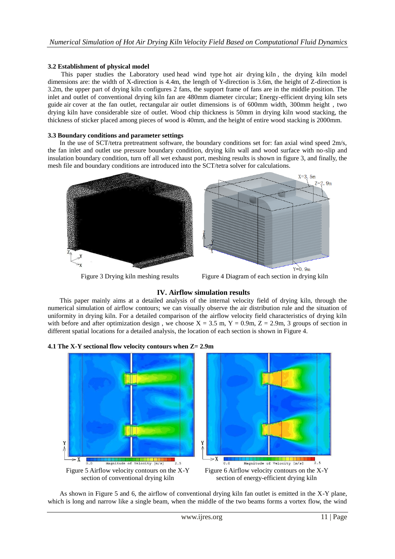#### **3.2 Establishment of physical model**

This paper studies the Laboratory used head wind type hot air drying kiln , the drying kiln model dimensions are: the width of X-direction is 4.4m, the length of Y-direction is 3.6m, the height of Z-direction is 3.2m, the upper part of drying kiln configures 2 fans, the support frame of fans are in the middle position. The inlet and outlet of conventional drying kiln fan are 480mm diameter circular; Energy-efficient drying kiln sets guide air cover at the fan outlet, rectangular air outlet dimensions is of 600mm width, 300mm height , two drying kiln have considerable size of outlet. Wood chip thickness is 50mm in drying kiln wood stacking, the thickness of sticker placed among pieces of wood is 40mm, and the height of entire wood stacking is 2000mm.

#### **3.3 Boundary conditions and parameter settings**

In the use of SCT/tetra pretreatment software, the boundary conditions set for: fan axial wind speed 2m/s, the fan inlet and outlet use pressure boundary condition, drying kiln wall and wood surface with no-slip and insulation boundary condition, turn off all wet exhaust port, meshing results is shown in figure 3, and finally, the mesh file and boundary conditions are introduced into the SCT/tetra solver for calculations.



Figure 3 Drying kiln meshing results Figure 4 Diagram of each section in drying kiln

# **IV. Airflow simulation results**

This paper mainly aims at a detailed analysis of the internal velocity field of drying kiln, through the numerical simulation of airflow contours; we can visually observe the air distribution rule and the situation of uniformity in drying kiln. For a detailed comparison of the airflow velocity field characteristics of drying kiln with before and after optimization design, we choose  $X = 3.5$  m,  $Y = 0.9$ m,  $Z = 2.9$ m, 3 groups of section in different spatial locations for a detailed analysis, the location of each section is shown in Figure 4.





As shown in Figure 5 and 6, the airflow of conventional drying kiln fan outlet is emitted in the X-Y plane, which is long and narrow like a single beam, when the middle of the two beams forms a vortex flow, the wind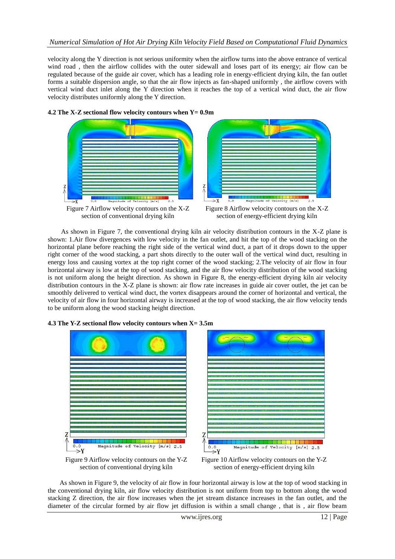# *Numerical Simulation of Hot Air Drying Kiln Velocity Field Based on Computational Fluid Dynamics*

velocity along the Y direction is not serious uniformity when the airflow turns into the above entrance of vertical wind road , then the airflow collides with the outer sidewall and loses part of its energy; air flow can be regulated because of the guide air cover, which has a leading role in energy-efficient drying kiln, the fan outlet forms a suitable dispersion angle, so that the air flow injects as fan-shaped uniformly , the airflow covers with vertical wind duct inlet along the Y direction when it reaches the top of a vertical wind duct, the air flow velocity distributes uniformly along the Y direction.



As shown in Figure 7, the conventional drying kiln air velocity distribution contours in the X-Z plane is shown: 1.Air flow divergences with low velocity in the fan outlet, and hit the top of the wood stacking on the horizontal plane before reaching the right side of the vertical wind duct, a part of it drops down to the upper right corner of the wood stacking, a part shots directly to the outer wall of the vertical wind duct, resulting in energy loss and causing vortex at the top right corner of the wood stacking; 2.The velocity of air flow in four horizontal airway is low at the top of wood stacking, and the air flow velocity distribution of the wood stacking is not uniform along the height direction. As shown in Figure 8, the energy-efficient drying kiln air velocity distribution contours in the X-Z plane is shown: air flow rate increases in guide air cover outlet, the jet can be smoothly delivered to vertical wind duct, the vortex disappears around the corner of horizontal and vertical, the velocity of air flow in four horizontal airway is increased at the top of wood stacking, the air flow velocity tends to be uniform along the wood stacking height direction.



#### **4.3 The Y-Z sectional flow velocity contours when X= 3.5m**

Figure 9 Airflow velocity contours on the Y-Z section of conventional drying kiln

Figure 10 Airflow velocity contours on the Y-Z section of energy-efficient drying kiln

As shown in Figure 9, the velocity of air flow in four horizontal airway is low at the top of wood stacking in the conventional drying kiln, air flow velocity distribution is not uniform from top to bottom along the wood stacking Z direction, the air flow increases when the jet stream distance increases in the fan outlet, and the diameter of the circular formed by air flow jet diffusion is within a small change , that is , air flow beam